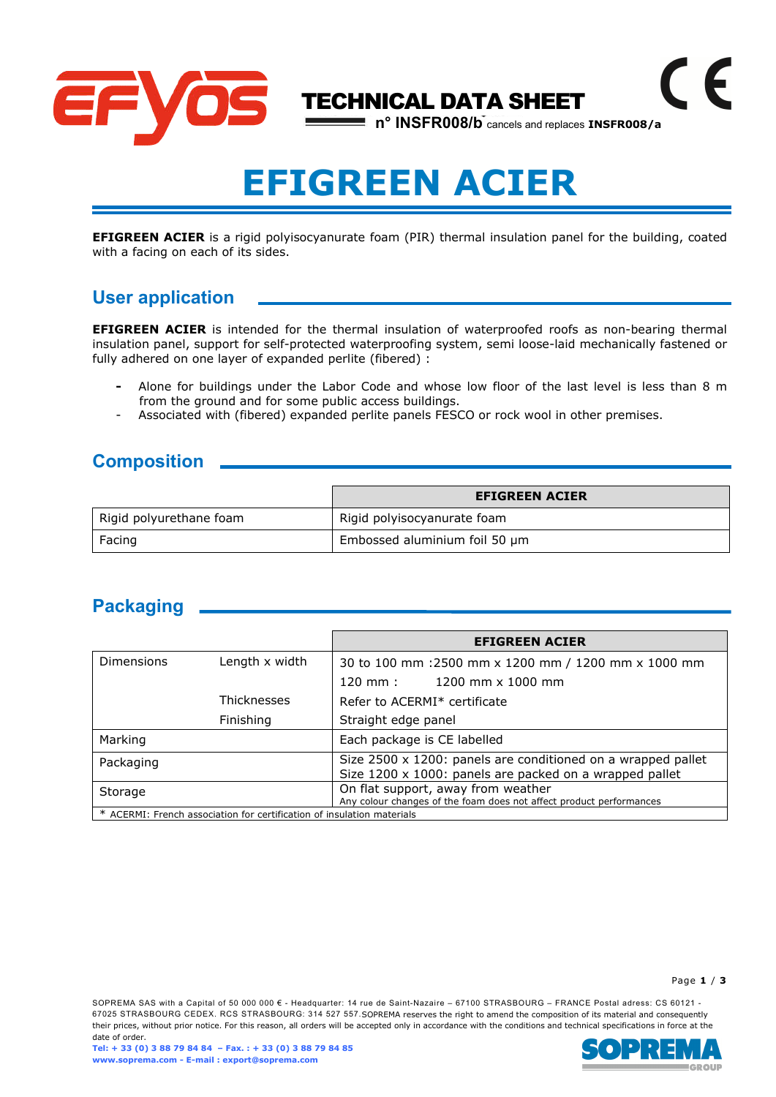

# EFIGREEN ACIER

EFIGREEN ACIER is a rigid polyisocyanurate foam (PIR) thermal insulation panel for the building, coated with a facing on each of its sides.

## User application

**EFIGREEN ACIER** is intended for the thermal insulation of waterproofed roofs as non-bearing thermal insulation panel, support for self-protected waterproofing system, semi loose-laid mechanically fastened or fully adhered on one layer of expanded perlite (fibered) :

- Alone for buildings under the Labor Code and whose low floor of the last level is less than 8 m from the ground and for some public access buildings.
- Associated with (fibered) expanded perlite panels FESCO or rock wool in other premises.

#### **Composition**

|                         | <b>EFIGREEN ACIER</b>         |
|-------------------------|-------------------------------|
| Rigid polyurethane foam | Rigid polyisocyanurate foam   |
| Facing                  | Embossed aluminium foil 50 µm |

## Packaging \_\_

|                                                                        |                    | <b>EFIGREEN ACIER</b>                                                                                                   |  |  |
|------------------------------------------------------------------------|--------------------|-------------------------------------------------------------------------------------------------------------------------|--|--|
| <b>Dimensions</b>                                                      | Length x width     | 30 to 100 mm : 2500 mm x 1200 mm / 1200 mm x 1000 mm                                                                    |  |  |
|                                                                        |                    | 120 mm: 1200 mm x 1000 mm                                                                                               |  |  |
|                                                                        | <b>Thicknesses</b> | Refer to ACERMI* certificate                                                                                            |  |  |
|                                                                        | Finishing          | Straight edge panel                                                                                                     |  |  |
| Marking                                                                |                    | Each package is CE labelled                                                                                             |  |  |
| Packaging                                                              |                    | Size 2500 x 1200: panels are conditioned on a wrapped pallet<br>Size 1200 x 1000: panels are packed on a wrapped pallet |  |  |
| Storage                                                                |                    | On flat support, away from weather<br>Any colour changes of the foam does not affect product performances               |  |  |
| * ACERMI: French association for certification of insulation materials |                    |                                                                                                                         |  |  |

#### Page 1 / 3

SOPREMA SAS with a Capital of 50 000 000 € - Headquarter: 14 rue de Saint-Nazaire – 67100 STRASBOURG – FRANCE Postal adress: CS 60121 -67025 STRASBOURG CEDEX. RCS STRASBOURG: 314 527 557.SOPREMA reserves the right to amend the composition of its material and consequently their prices, without prior notice. For this reason, all orders will be accepted only in accordance with the conditions and technical specifications in force at the date of order.

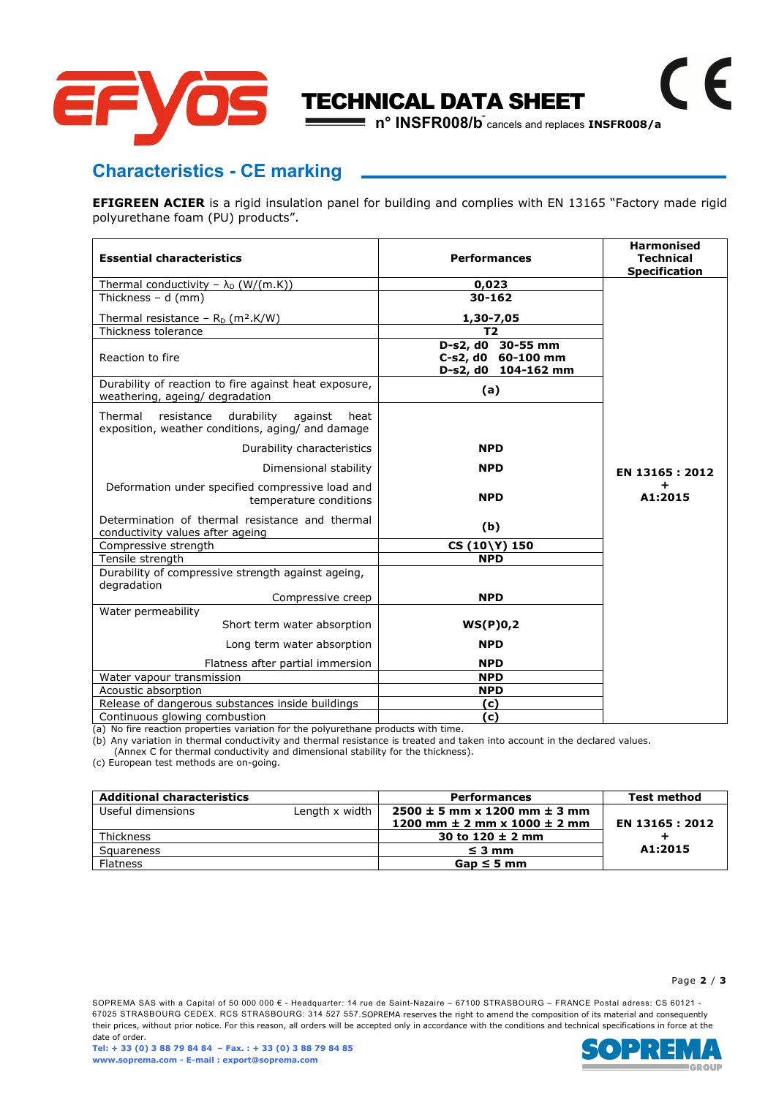

## Characteristics - CE marking

**EFIGREEN ACIER** is a rigid insulation panel for building and complies with EN 13165 "Factory made rigid polyurethane foam (PU) products".

| <b>Essential characteristics</b>                                                                            | <b>Performances</b>                                            | <b>Harmonised</b><br><b>Technical</b> |
|-------------------------------------------------------------------------------------------------------------|----------------------------------------------------------------|---------------------------------------|
|                                                                                                             |                                                                | <b>Specification</b>                  |
| Thermal conductivity - $\lambda_D$ (W/(m.K))                                                                | 0,023                                                          |                                       |
| Thickness $- d$ (mm)                                                                                        | 30-162                                                         |                                       |
| Thermal resistance – $R_D$ (m <sup>2</sup> .K/W)                                                            | 1,30-7,05                                                      |                                       |
| Thickness tolerance                                                                                         | T <sub>2</sub>                                                 |                                       |
| Reaction to fire                                                                                            | D-s2, d0 30-55 mm<br>C-s2, d0 60-100 mm<br>D-s2, d0 104-162 mm |                                       |
| Durability of reaction to fire against heat exposure,<br>weathering, ageing/ degradation                    | (a)                                                            |                                       |
| Thermal<br>resistance<br>durability<br>against<br>heat<br>exposition, weather conditions, aging/ and damage |                                                                |                                       |
| Durability characteristics                                                                                  | <b>NPD</b>                                                     |                                       |
| Dimensional stability                                                                                       | <b>NPD</b>                                                     | EN 13165 : 2012                       |
| Deformation under specified compressive load and<br>temperature conditions                                  | <b>NPD</b>                                                     | A1:2015                               |
| Determination of thermal resistance and thermal<br>conductivity values after ageing                         | (b)                                                            |                                       |
| Compressive strength                                                                                        | CS (10\Y) 150                                                  |                                       |
| Tensile strength                                                                                            | <b>NPD</b>                                                     |                                       |
| Durability of compressive strength against ageing,<br>degradation                                           |                                                                |                                       |
| Compressive creep                                                                                           | <b>NPD</b>                                                     |                                       |
| Water permeability                                                                                          |                                                                |                                       |
| Short term water absorption                                                                                 | WS(P)0,2                                                       |                                       |
| Long term water absorption                                                                                  | <b>NPD</b>                                                     |                                       |
| Flatness after partial immersion                                                                            | <b>NPD</b>                                                     |                                       |
| Water vapour transmission                                                                                   | <b>NPD</b>                                                     |                                       |
| Acoustic absorption                                                                                         | <b>NPD</b>                                                     |                                       |
| Release of dangerous substances inside buildings                                                            | (c)                                                            |                                       |
| Continuous glowing combustion                                                                               | (c)                                                            |                                       |

(a) No fire reaction properties variation for the polyurethane products with time.

(b) Any variation in thermal conductivity and thermal resistance is treated and taken into account in the declared values.

(Annex C for thermal conductivity and dimensional stability for the thickness).

(c) European test methods are on-going.

| <b>Additional characteristics</b> |                | <b>Performances</b>                  | <b>Test method</b> |
|-----------------------------------|----------------|--------------------------------------|--------------------|
| Useful dimensions                 | Length x width | $2500 \pm 5$ mm x 1200 mm $\pm$ 3 mm |                    |
|                                   |                | 1200 mm $\pm$ 2 mm x 1000 $\pm$ 2 mm | EN 13165 : 2012    |
| <b>Thickness</b>                  |                | 30 to $120 \pm 2$ mm                 |                    |
| Squareness                        |                | $\leq$ 3 mm                          | A1:2015            |
| <b>Flatness</b>                   |                | $Gap \leq 5$ mm                      |                    |

#### Page 2 / 3

SOPREMA SAS with a Capital of 50 000 000 € - Headquarter: 14 rue de Saint-Nazaire – 67100 STRASBOURG – FRANCE Postal adress: CS 60121 - 67025 STRASBOURG CEDEX. RCS STRASBOURG: 314 527 557.SOPREMA reserves the right to amend the composition of its material and consequently their prices, without prior notice. For this reason, all orders will be accepted only in accordance with the conditions and technical specifications in force at the date of order.